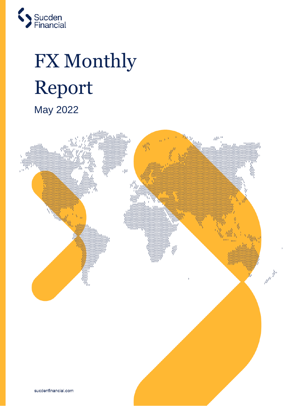

# FX Monthly Report May 2022

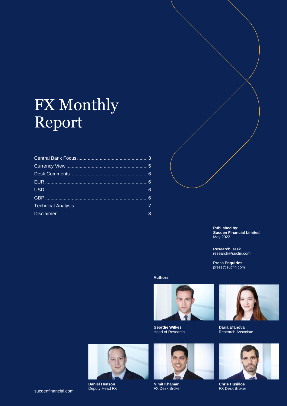# FX Monthly Report



**Published by: Sucden Financial Limited**  May 2022

**Research Desk**  research@sucfin.com

**Press Enquiries**  press@sucfin.com

**Authors:**



**Geordie Wilkes**  Head of Research



**Daria Efanova**  Research Associate



**Daniel Henson** Deputy Head FX



**Nimit Khamar** FX Desk Broker



**Chris Husillos** FX Desk Broker

sucdenfinancial.com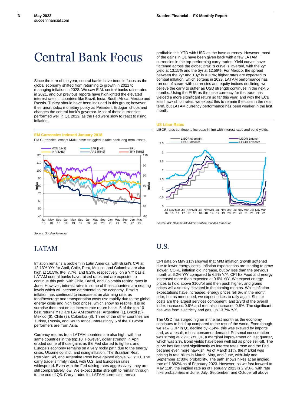**3**

# <span id="page-2-0"></span>Central Bank Focus

Since the turn of the year, central banks have been in focus as the global economy shifted from returning to growth in 2021 to managing inflation in 2022. We saw E.M. central banks raise rates in 2021, and our previous reports have highlighted the elevated interest rates in countries like Brazil, India, South Africa, Mexico and Russia. Turkey should have been included in this group; however, their unorthodox monetary policy as President Erdogan chops and changes the central bank's governor. Most of these currencies performed well in Q1 2022, as the Fed were slow to react to rising inflation.

### **EM Currencies Indexed January 2018**

EM Currencies, except MXN, have struggled to take back long term losses.



## LATAM

Inflation remains a problem in Latin America, with Brazil's CPI at 12.13% Y/Y for April, Chile, Peru, Mexico, and Colombia are also high at 10.5%, 8%, 7.7%, and 9.2%, respectively, on a Y/Y basis. LATAM central banks have raised rates and are expected to continue this path, with Chile, Brazil, and Colombia raising rates in June. However, interest rates in some of these countries are nearing levels which will become detrimental to the economy. Brazil's inflation has continued to increase at an alarming rate, as food/beverage and transportation costs rise rapidly due to the global energy crisis and high food prices, which show no respite. It is no surprise then that on an interest rate return basis, 5 of the top 10 best returns YTD are LATAM countries: Argentina (1), Brazil (5), Mexico (6), Chile (7), Colombia (8). Three of the other countries are Turkey, Russia, and South Africa. Interestingly 5 of the 10 worst performers are from Asia.

Currency returns from LATAM countries are also high, with the same countries in the top 10. However, dollar strength in April eroded some of those gains as the Fed started to tighten, and Europe's economy remains on a very rocky path due to the energy crisis, Ukraine conflict, and rising inflation. The Brazilian Real, Peruvian Sol, and Argentine Peso have gained above 5% YTD. The carry trade is firmly intact, with U.S. and European rates widespread. Even with the Fed raising rates aggressively, they are still comparatively low. We expect dollar strength to remain through to the end of Q3. Carry trades for LATAM currencies remain

profitable this YTD with USD as the base currency. However, most of the gains in Q1 have been given back with a few LATAM currencies in the top-performing carry trades. Yield curves have flattened across the globe; Brazil's curve is inverted, with the 2yr yield at 13.15% and the 5yr at 12.56%. For Mexico, the spread between the 2yr and 10yr is 0.13%; higher rates are expected to combat inflation, which softens in 2023. LATAM performance has run out of steam with currencies and equity indices declining; we believe the carry to suffer as USD strength continues in the next 5 months. Using the EUR as the base currency for the trade has yielded a more significant return so far this year, and with the ECB less hawkish on rates, we expect this to remain the case in the near term, but LATAM currency performance has been weaker in the last month.

### **US Libor Rates**

LIBOR rates continue to increase in line with interest rates and bond yields.



*Source: ICE Benchmark Administration, Sucden Financial*

## U.S.

CPI data on May 11th showed that M/M inflation growth softened due to lower energy costs. Inflation expectations are starting to grow slower, CORE inflation did increase, but by less than the previous month at 6.2% Y/Y compared to 6.5% Y/Y. CPI Ex Food and energy increased more than expected at 0.6% Y/Y. We expect energy prices to hold above \$100/bl and then push higher, and grains prices will also stay elevated in the coming months. While inflation expectations have increased, energy prices fell 6% in the month prior, but as mentioned, we expect prices to rally again. Shelter costs are the largest services component, and 1/3rd of the overall index increased 0.6% and rent also increased 0.6%. The significant rise was from electricity and gas, up 13.7% Y/Y.

The USD has surged higher in the last month as the economy continues to hold up compared to the rest of the world. Even though we saw GDP in Q1 decline by -1.4%, this was skewed by imports and, as a result, robust consumer demand. Personal consumption was strong at 2.7% Y/Y Q1, a marginal improvement on last quarter, which was 2.%. Bond yields have been well bid as price sell-off. The curve has flattened significantly as interest rates rose and the Fed became even more hawkish. As of March 11th, the market was pricing in rate hikes in March, May, and June, with July and September at 80% probability. The path shows hikes at an implied rate of 1.882% as of February 2023. However, as we fast forward to May 11th, the implied rate as of February 2023 is 2.9/3%, with rate hike probabilities in June, July, September, and October all above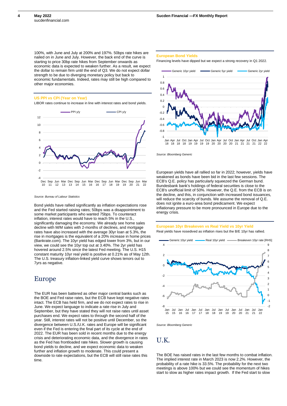**4**

100%, with June and July at 200% and 197%. 50bps rate hikes are nailed on in June and July. However, the back end of the curve is starting to price 30bp rate hikes from September onwards as economic data is expected to weaken further. As a result, we expect the dollar to remain firm until the end of Q3. We do not expect dollar strength to be due to diverging monetary policy but back to economic fundamentals. Indeed, rates may still be high compared to other major economies.

### **US PPI vs CPI (Year on Year)**

LIBOR rates continue to increase in line with interest rates and bond yields.



*Source: Bureau of Labour Statistics* 

Bond yields have rallied significantly as inflation expectations rose and the Fed started raising rates; 50bps was a disappointment to some market participants who wanted 75bps. To counteract inflation, interest rates would have to reach 5% in the U.S., significantly damaging the economy. We already see home sales decline with M/M sales with 2-months of declines, and mortgage rates have also increased with the average 30yr loan at 5.3%, the rise in mortgages is the equivalent of a 20% increase in home prices (Bankrate.com). The 10yr yield has edged lower from 3%, but in our view, we could see the 10yr top out at 3.40%. The 2yr yield has hovered around 2.5% since the latest Fed meeting. The U.S. H15 constant maturity 10yr real yield is positive at 0.21% as of May 12th. The U.S. treasury inflation-linked yield curve shows tenors out to 7yrs as negative.

### Europe

The EUR has been battered as other major central banks such as the BOE and Fed raise rates, but the ECB have kept negative rates intact. The ECB has held firm, and we do not expect rates to rise in June. We expect language to indicate a rate rise in July and September, but they have stated they will not raise rates until asset purchases end. We expect rates to through the second half of the year. Still, interest rates will not be positive until December, so the divergence between U.S./U.K. rates and Europe will be significant even if the Fed is entering the final part of its cycle at the end of 2022. The EUR has been sold in recent months due to the energy crisis and deteriorating economic data, and the divergence in rates as the Fed has frontloaded rate hikes. Slower growth is causing bond yields to decline, and we expect economic data to weaken further and inflation growth to moderate. This could present a downside to rate expectations, but the ECB will still raise rates this time.

#### **European Bond Yields**

Financing levels have dipped but we expect a strong recovery in Q1 2022.



*Source: Bloomberg Generic* 

European yields have all rallied so far in 2022; however, yields have weakened as bonds have been bid in the last few sessions. The ECB's Q.E. policy has particularly squeezed the German bund. Bundesbank bank's holdings of federal securities is close to the ECB's unofficial limit of 50%. However, the Q.E. from the ECB is on the decline, and this, in conjunction with increased bond issuances, will reduce the scarcity of bunds. We assume the removal of Q.E. does not ignite a euro-area bond predicament. We expect inflationary pressure to be more pronounced in Europe due to the energy crisis.

### **European 10yr Breakeven vs Real Yield vs 10yr Yield**  Real yields have nosedived as inflation rises but the B/E 10yr has rallied.



*Source: Bloomberg Generic* 

### U.K.

The BOE has raised rates in the last few months to combat inflation. The implied interest rate in March 2023 is now 2.2%. However, the probability of a rate hike is 33.5%. The probability for the next two meetings is above 100% but we could see the momentum of hikes start to slow as higher rates impact growth. If the Fed start to slow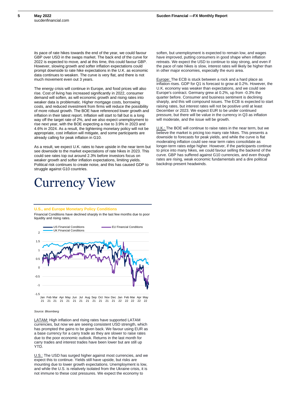its pace of rate hikes towards the end of the year, we could favour GBP over USD in the swaps market. The back end of the curve for 2022 is expected to move, and at this time, this could favour GBP. However, slowing growth and softer inflation expectations could prompt downside to rate hike expectations in the U.K. as economic data continues to weaken. The curve is very flat, and there is not much movement even out 3 years.

The energy crisis will continue in Europe, and food prices will also rise. Cost of living has increased significantly in 2022, consumer demand will soften, as will economic growth and rising rates into weaker data is problematic. Higher mortgage costs, borrowing costs, and reduced investment from firms will reduce the possibility of more robust growth. The BOE have referenced lower growth and inflation in their latest report. Inflation will start to fall but is a long way off the target rate of 2%, and we also expect unemployment to rise next year, with the BOE expecting a rise to 3.9% in 2023 and 4.6% in 2024. As a result, the tightening monetary policy will not be appropriate, cost inflation will mitigate, and some participants are already calling for peak inflation in G10.

As a result, we expect U.K. rates to have upside in the near term but see downside to the market expectations of rate hikes in 2023. This could see rates top out around 2.3% before investors focus on weaker growth and softer inflation expectations, limiting yields. Political risk continues to create noise, and this has caused GDP to struggle against G10 countries.

# <span id="page-4-0"></span>Currency View

soften, but unemployment is expected to remain low, and wages have improved, putting consumers in good shape when inflation retreats. We expect the USD to continue to stay strong, and even if the pace of rate hikes is slow, interest rates will likely be higher than in other major economies, especially the euro area.

Europe: The ECB is stuck between a rock and a hard place as inflation rises. GDP for Q1 is forecast to grow at 0.2%. However, the U.K. economy was weaker than expectations, and we could see Europe's contract. Germany grew at 0.2%, up from -0.3% the quarter before. Consumer and business sentiment is declining sharply, and this will compound issues. The ECB is expected to start raising rates, but interest rates will not be positive until at least December or 2023. We expect EUR to be under continued pressure, but there will be value in the currency in Q3 as inflation will moderate, and the issue will be growth.

U.K.: The BOE will continue to raise rates in the near term, but we believe the market is pricing too many rate hikes. This presents a downside to forecasts for peak yields, and while the curve is flat moderating inflation could see near term rates consolidate as longer-term rates edge higher. However, if the participants continue to price into many hikes, we could favour selling the backend of the curve. GBP has suffered against G10 currencies, and even though rates are rising, weak economic fundamentals and a dire political backdrop present headwinds.

### **U.S., and Europe Monetary Policy Conditions**

Financial Conditions have declined sharply in the last few months due to poor liquidity and rising rates.



#### *Source: Bloomberg*

LATAM: High inflation and rising rates have supported LATAM currencies, but now we are seeing consistent USD strength, which has prompted the gains to be given back. We favour using EUR as a base currency for a carry trade as they are slower to raise rates due to the poor economic outlook. Returns in the last month for carry trades and interest trades have been lower but are still up YTD.

U.S.: The USD has surged higher against most currencies, and we expect this to continue. Yields still have upside, but risks are mounting due to lower growth expectations. Unemployment is low, and while the U.S. is relatively isolated from the Ukraine crisis, it is not immune to these cost pressures. We expect the economy to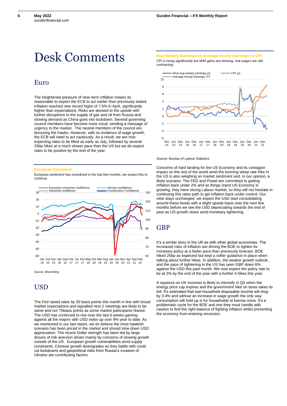# <span id="page-5-0"></span>Desk Comments

### <span id="page-5-1"></span>Euro

The heightened pressure of near-term inflation means its reasonable to expect the ECB to act earlier than previously stated. Inflation reached new record highs of 7.5% in April, significantly higher than expectations. Risks are skewed to the upside with further disruptions to the supply of gas and oil from Russia and slowing demand as China goes into lockdown. Several governing council members have become more vocal, sending a message of urgency to the market. The neutral members of the council are favouring the hawks. However, with no evidence of wage growth, the ECB will need to act cautiously. As a result, we are now expecting rates to be lifted as early as July, followed by several 25bp hikes at a much slower pace than the US but we do expect rates to be positive by the end of the year.

#### **European Sentiment**

European sentiment has nosedived in the last few months, we expect this to continue.



*Source: Bloomberg* 

## <span id="page-5-2"></span>**USD**

The Fed raised rates by 50 basis points this month in line with broad market expectations and signalled next 2 meetings are likely to be same and not 75basis points as some market participants feared. The USD has continued to rise over the last 6 weeks gaining against all the majors with USD index up over 9% year to date. As we mentioned in our last report, we do believe the most hawkish scenario has been priced in the market and should slow down USD appreciation. The recent Dollar strength has been led by large droves of risk aversion driven mainly by concerns of slowing growth outside of the US. European growth vulnerabilities amid supply constraints, Chinese growth downgrades as they battle with covid via lockdowns and geopolitical risks from Russia's invasion of Ukraine are contributing factors.

**Real Weekly Earnings vs Average Hourly Earnings vs CPI**

CPI is rising significantly but M/M gains are slowing, real wages are still contracting.



#### Source: Bureau of Labour Statistics

Concerns of hard landing for the US Economy and its contagion impact on the rest of the world amid the looming steep rate hike in the US is also weighing on market sentiment and, in our opinion, a likely scenario. The FED and Powel are committed to getting inflation back under 2% and as things stand US Economy is growing, they have strong Labour market, so they will not hesitate in continuing this rates path to get inflation back under control. Our view stays unchanged, we expect the USD start consolidating around these levels with a slight upside basis over the next few months before we see the USD depreciating towards the end of year as US growth slows amid monetary tightening.

### <span id="page-5-3"></span>GBP

It's a similar story in the UK as with other global economies. The increased risks of inflation are driving the BOE to tighten its monetary policy at a faster pace than previously forecast. BOE hiked 25bp as expected but kept a softer guidance in place when talking about further hikes. In addition, the weaker growth outlook, and the pace of tightening in the US has seen GBP down 6% against the USD this past month. We now expect the policy rate to be at 2% by the end of the year with a further 4 hikes this year.

A squeeze on UK incomes is likely to intensify in Q3 when the energy price cap expires and the government hike on taxes takes its toll. It's estimated that real household disposable income will drop by 3.4% and without an increase in wage growth the only way consumption will hold up is for households to borrow more. It's a problematic cycle for the BOE and one they must handle with caution to find the right balance of fighting inflation whilst preventing the economy from entering recession.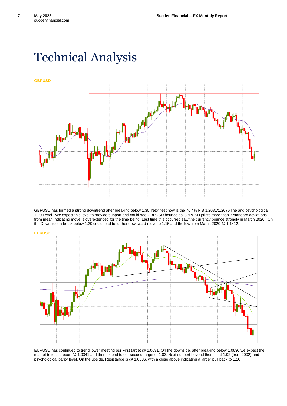**7**

# <span id="page-6-0"></span>Technical Analysis

**GBPUSD**



GBPUSD has formed a strong downtrend after breaking below 1.30. Next test now is the 76.4% FIB 1.2081/1.2076 line and psychological 1.20 Level. We expect this level to provide support and could see GBPUSD bounce as GBPUSD prints more than 3 standard deviations from mean indicating move is overextended for the time being. Last time this occurred saw the currency bounce strongly in March 2020. On the Downside, a break below 1.20 could lead to further downward move to 1.15 and the low from March 2020 @ 1.1412.



EURUSD has continued to trend lower meeting our First target @ 1.0691. On the downside, after breaking below 1.0636 we expect the market to test support @ 1.0341 and then extend to our second target of 1.03. Next support beyond there is at 1.02 (from 2002) and psychological parity level. On the upside, Resistance is @ 1.0636, with a close above indicating a larger pull back to 1.10.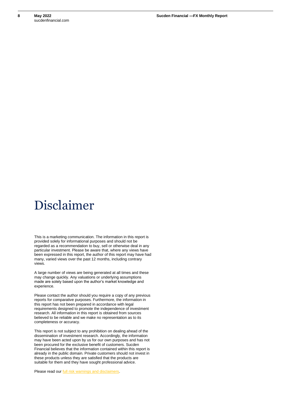# <span id="page-7-0"></span>Disclaimer

This is a marketing communication. The information in this report is provided solely for informational purposes and should not be regarded as a recommendation to buy, sell or otherwise deal in any particular investment. Please be aware that, where any views have been expressed in this report, the author of this report may have had many, varied views over the past 12 months, including contrary views.

A large number of views are being generated at all times and these may change quickly. Any valuations or underlying assumptions made are solely based upon the author's market knowledge and experience.

Please contact the author should you require a copy of any previous reports for comparative purposes. Furthermore, the information in this report has not been prepared in accordance with legal requirements designed to promote the independence of investment research. All information in this report is obtained from sources believed to be reliable and we make no representation as to its completeness or accuracy.

This report is not subject to any prohibition on dealing ahead of the dissemination of investment research. Accordingly, the information may have been acted upon by us for our own purposes and has not been procured for the exclusive benefit of customers. Sucden Financial believes that the information contained within this report is already in the public domain. Private customers should not invest in these products unless they are satisfied that the products are suitable for them and they have sought professional advice.

Please read our [full risk warnings and disclaimers.](https://www.sucdenfinancial.com/risk-warning-and-disclaimers/)